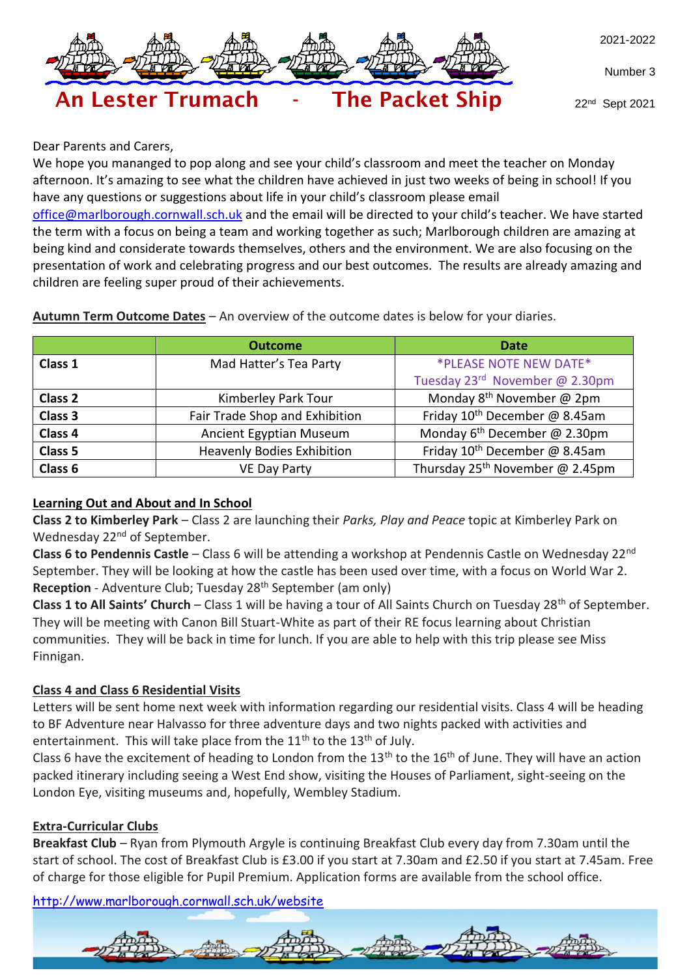

Number 3



22nd Sept 2021

Dear Parents and Carers,

We hope you mananged to pop along and see your child's classroom and meet the teacher on Monday afternoon. It's amazing to see what the children have achieved in just two weeks of being in school! If you have any questions or suggestions about life in your child's classroom please email

[office@marlborough.cornwall.sch.uk](mailto:office@marlborough.cornwall.sch.uk) and the email will be directed to your child's teacher. We have started the term with a focus on being a team and working together as such; Marlborough children are amazing at being kind and considerate towards themselves, others and the environment. We are also focusing on the presentation of work and celebrating progress and our best outcomes. The results are already amazing and children are feeling super proud of their achievements.

**Autumn Term Outcome Dates** – An overview of the outcome dates is below for your diaries.

|                    | <b>Outcome</b>                                   | <b>Date</b>                                 |  |
|--------------------|--------------------------------------------------|---------------------------------------------|--|
| Class 1            | *PLEASE NOTE NEW DATE*<br>Mad Hatter's Tea Party |                                             |  |
|                    |                                                  | Tuesday 23rd November @ 2.30pm              |  |
| Class <sub>2</sub> | Kimberley Park Tour                              | Monday $8^{th}$ November @ 2pm              |  |
| Class 3            | Fair Trade Shop and Exhibition                   | Friday 10 <sup>th</sup> December @ 8.45am   |  |
| Class 4            | Ancient Egyptian Museum                          | Monday $6^{th}$ December @ 2.30pm           |  |
| Class 5            | <b>Heavenly Bodies Exhibition</b>                | Friday 10 <sup>th</sup> December @ 8.45am   |  |
| Class 6            | <b>VE Day Party</b>                              | Thursday 25 <sup>th</sup> November @ 2.45pm |  |

### **Learning Out and About and In School**

**Class 2 to Kimberley Park** – Class 2 are launching their *Parks, Play and Peace* topic at Kimberley Park on Wednesday 22<sup>nd</sup> of September.

**Class 6 to Pendennis Castle** – Class 6 will be attending a workshop at Pendennis Castle on Wednesday 22nd September. They will be looking at how the castle has been used over time, with a focus on World War 2. **Reception** - Adventure Club; Tuesday 28<sup>th</sup> September (am only)

**Class 1 to All Saints' Church** – Class 1 will be having a tour of All Saints Church on Tuesday 28<sup>th</sup> of September. They will be meeting with Canon Bill Stuart-White as part of their RE focus learning about Christian communities. They will be back in time for lunch. If you are able to help with this trip please see Miss Finnigan.

### **Class 4 and Class 6 Residential Visits**

Letters will be sent home next week with information regarding our residential visits. Class 4 will be heading to BF Adventure near Halvasso for three adventure days and two nights packed with activities and entertainment. This will take place from the  $11<sup>th</sup>$  to the  $13<sup>th</sup>$  of July.

Class 6 have the excitement of heading to London from the  $13<sup>th</sup>$  to the  $16<sup>th</sup>$  of June. They will have an action packed itinerary including seeing a West End show, visiting the Houses of Parliament, sight-seeing on the London Eye, visiting museums and, hopefully, Wembley Stadium.

## **Extra-Curricular Clubs**

**Breakfast Club** – Ryan from Plymouth Argyle is continuing Breakfast Club every day from 7.30am until the start of school. The cost of Breakfast Club is £3.00 if you start at 7.30am and £2.50 if you start at 7.45am. Free of charge for those eligible for Pupil Premium. Application forms are available from the school office.

<http://www.marlborough.cornwall.sch.uk/website>

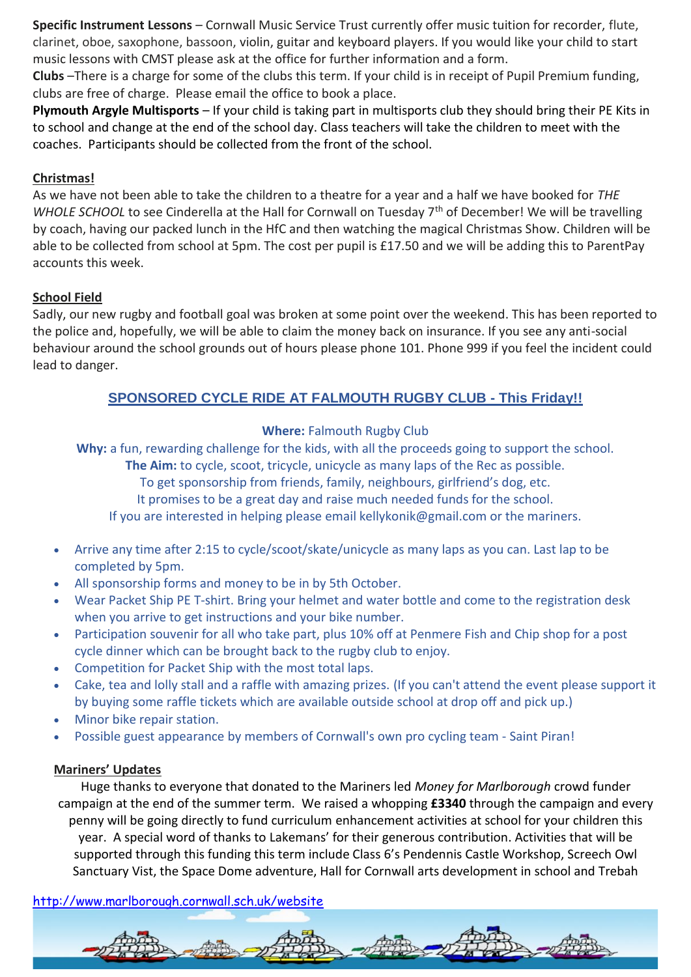**Specific Instrument Lessons** – Cornwall Music Service Trust currently offer music tuition for recorder, flute, clarinet, oboe, saxophone, bassoon, violin, guitar and keyboard players. If you would like your child to start music lessons with CMST please ask at the office for further information and a form.

**Clubs** –There is a charge for some of the clubs this term. If your child is in receipt of Pupil Premium funding, clubs are free of charge. Please email the office to book a place.

**Plymouth Argyle Multisports** – If your child is taking part in multisports club they should bring their PE Kits in to school and change at the end of the school day. Class teachers will take the children to meet with the coaches. Participants should be collected from the front of the school.

### **Christmas!**

As we have not been able to take the children to a theatre for a year and a half we have booked for *THE WHOLE SCHOOL* to see Cinderella at the Hall for Cornwall on Tuesday 7<sup>th</sup> of December! We will be travelling by coach, having our packed lunch in the HfC and then watching the magical Christmas Show. Children will be able to be collected from school at 5pm. The cost per pupil is £17.50 and we will be adding this to ParentPay accounts this week.

### **School Field**

Sadly, our new rugby and football goal was broken at some point over the weekend. This has been reported to the police and, hopefully, we will be able to claim the money back on insurance. If you see any anti-social behaviour around the school grounds out of hours please phone 101. Phone 999 if you feel the incident could lead to danger.

# **SPONSORED CYCLE RIDE AT FALMOUTH RUGBY CLUB - This Friday!!**

### **Where:** Falmouth Rugby Club

**Why:** a fun, rewarding challenge for the kids, with all the proceeds going to support the school.

**The Aim:** to cycle, scoot, tricycle, unicycle as many laps of the Rec as possible.

To get sponsorship from friends, family, neighbours, girlfriend's dog, etc.

It promises to be a great day and raise much needed funds for the school.

If you are interested in helping please email kellykonik@gmail.com or the mariners.

- Arrive any time after 2:15 to cycle/scoot/skate/unicycle as many laps as you can. Last lap to be completed by 5pm.
- All sponsorship forms and money to be in by 5th October.
- Wear Packet Ship PE T-shirt. Bring your helmet and water bottle and come to the registration desk when you arrive to get instructions and your bike number.
- Participation souvenir for all who take part, plus 10% off at Penmere Fish and Chip shop for a post cycle dinner which can be brought back to the rugby club to enjoy.
- Competition for Packet Ship with the most total laps.
- Cake, tea and lolly stall and a raffle with amazing prizes. (If you can't attend the event please support it by buying some raffle tickets which are available outside school at drop off and pick up.)
- Minor bike repair station.
- Possible guest appearance by members of Cornwall's own pro cycling team Saint Piran!

## **Mariners' Updates**

Huge thanks to everyone that donated to the Mariners led *Money for Marlborough* crowd funder campaign at the end of the summer term. We raised a whopping **£3340** through the campaign and every penny will be going directly to fund curriculum enhancement activities at school for your children this year. A special word of thanks to Lakemans' for their generous contribution. Activities that will be supported through this funding this term include Class 6's Pendennis Castle Workshop, Screech Owl Sanctuary Vist, the Space Dome adventure, Hall for Cornwall arts development in school and Trebah

<http://www.marlborough.cornwall.sch.uk/website>